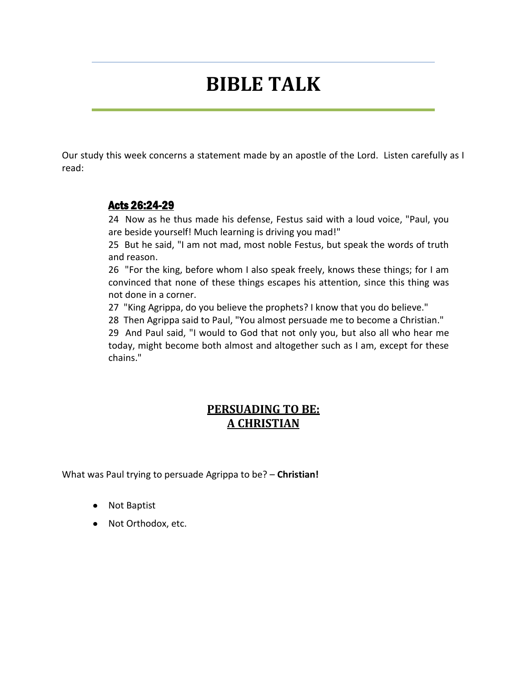# **BIBLE TALK**

Our study this week concerns a statement made by an apostle of the Lord. Listen carefully as I read:

# Acts 26:24-29

24 Now as he thus made his defense, Festus said with a loud voice, "Paul, you are beside yourself! Much learning is driving you mad!"

25 But he said, "I am not mad, most noble Festus, but speak the words of truth and reason.

26 "For the king, before whom I also speak freely, knows these things; for I am convinced that none of these things escapes his attention, since this thing was not done in a corner.

27 "King Agrippa, do you believe the prophets? I know that you do believe."

28 Then Agrippa said to Paul, "You almost persuade me to become a Christian."

29 And Paul said, "I would to God that not only you, but also all who hear me today, might become both almost and altogether such as I am, except for these chains."

# **PERSUADING TO BE: A CHRISTIAN**

What was Paul trying to persuade Agrippa to be? – **Christian!**

- Not Baptist
- Not Orthodox, etc.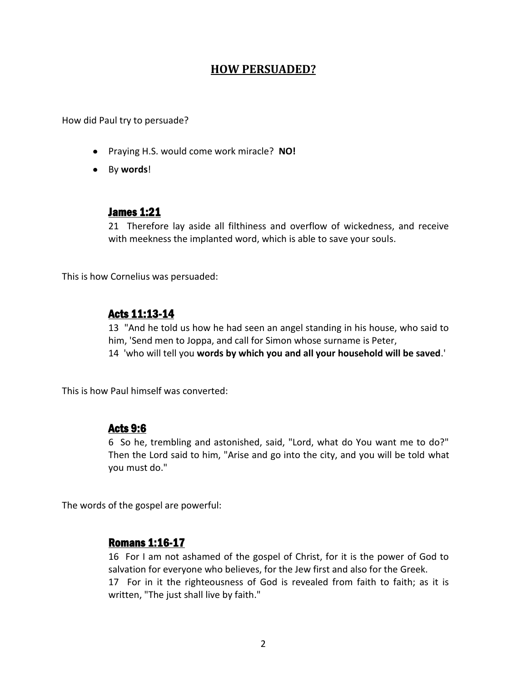# **HOW PERSUADED?**

How did Paul try to persuade?

- Praying H.S. would come work miracle? **NO!**
- By **words**!

### James 1:21

21 Therefore lay aside all filthiness and overflow of wickedness, and receive with meekness the implanted word, which is able to save your souls.

This is how Cornelius was persuaded:

## Acts 11:13-14

13 "And he told us how he had seen an angel standing in his house, who said to him, 'Send men to Joppa, and call for Simon whose surname is Peter, 14 'who will tell you **words by which you and all your household will be saved**.'

This is how Paul himself was converted:

### Acts 9:6

6 So he, trembling and astonished, said, "Lord, what do You want me to do?" Then the Lord said to him, "Arise and go into the city, and you will be told what you must do."

The words of the gospel are powerful:

### Romans 1:16-17

16 For I am not ashamed of the gospel of Christ, for it is the power of God to salvation for everyone who believes, for the Jew first and also for the Greek. 17 For in it the righteousness of God is revealed from faith to faith; as it is written, "The just shall live by faith."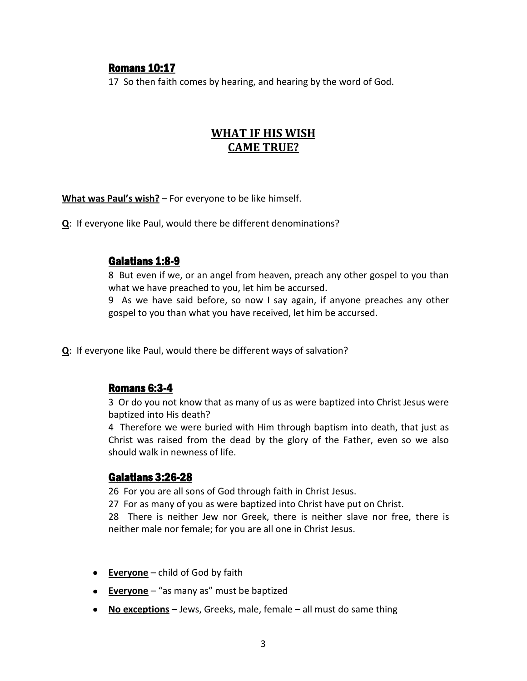# Romans 10:17

17 So then faith comes by hearing, and hearing by the word of God.

# **WHAT IF HIS WISH CAME TRUE?**

**What was Paul's wish?** – For everyone to be like himself.

**Q**: If everyone like Paul, would there be different denominations?

# Galatians 1:8-9

8 But even if we, or an angel from heaven, preach any other gospel to you than what we have preached to you, let him be accursed.

9 As we have said before, so now I say again, if anyone preaches any other gospel to you than what you have received, let him be accursed.

**Q**: If everyone like Paul, would there be different ways of salvation?

# Romans 6:3-4

3 Or do you not know that as many of us as were baptized into Christ Jesus were baptized into His death?

4 Therefore we were buried with Him through baptism into death, that just as Christ was raised from the dead by the glory of the Father, even so we also should walk in newness of life.

## Galatians 3:26-28

26 For you are all sons of God through faith in Christ Jesus.

27 For as many of you as were baptized into Christ have put on Christ.

28 There is neither Jew nor Greek, there is neither slave nor free, there is neither male nor female; for you are all one in Christ Jesus.

- **Everyone** child of God by faith
- **Everyone** "as many as" must be baptized
- **No exceptions** Jews, Greeks, male, female all must do same thing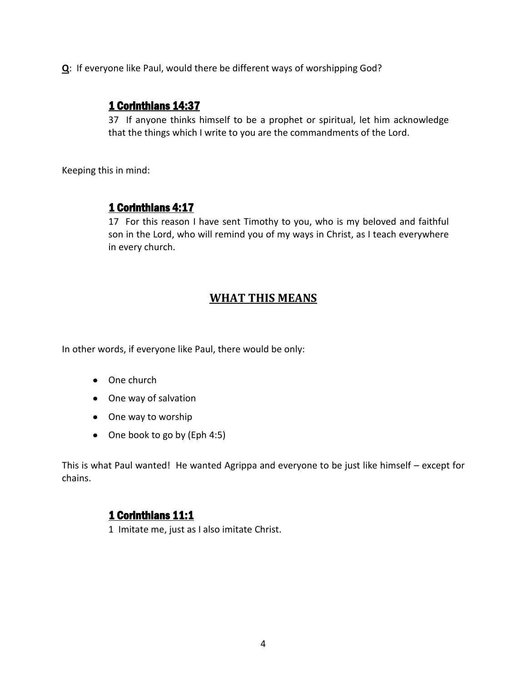**Q**: If everyone like Paul, would there be different ways of worshipping God?

# 1 Corinthians 14:37

37 If anyone thinks himself to be a prophet or spiritual, let him acknowledge that the things which I write to you are the commandments of the Lord.

Keeping this in mind:

# 1 Corinthians 4:17

17 For this reason I have sent Timothy to you, who is my beloved and faithful son in the Lord, who will remind you of my ways in Christ, as I teach everywhere in every church.

# **WHAT THIS MEANS**

In other words, if everyone like Paul, there would be only:

- One church
- One way of salvation
- One way to worship
- One book to go by (Eph 4:5)

This is what Paul wanted! He wanted Agrippa and everyone to be just like himself – except for chains.

# 1 Corinthians 11:1

1 Imitate me, just as I also imitate Christ.